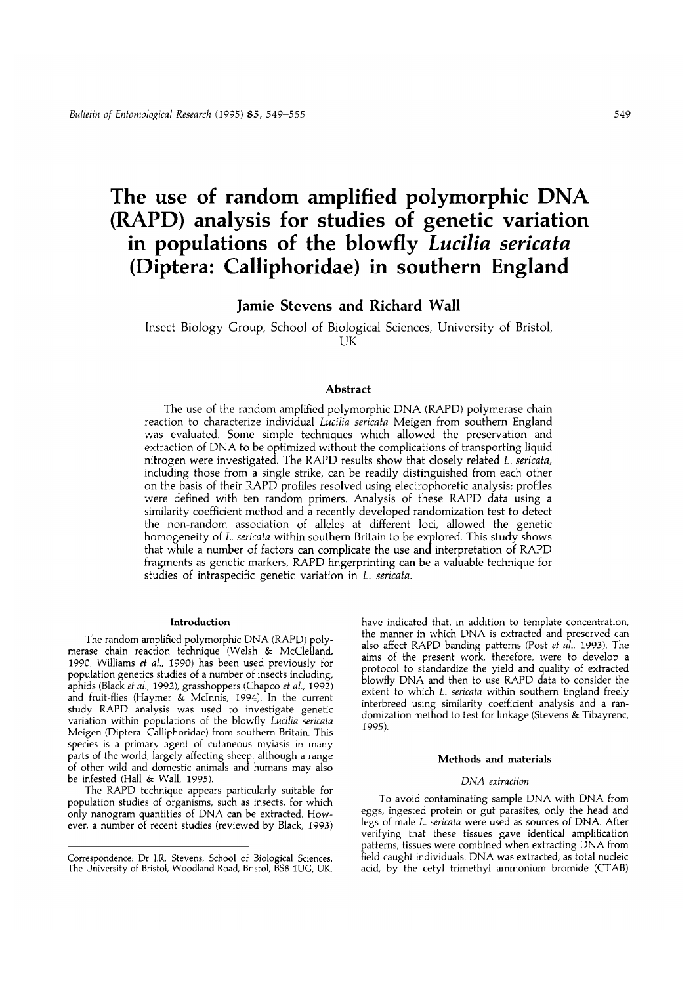# **The use of random amplified polymorphic DNA (RAPD) analysis for studies of genetic variation in populations of the blowfly** *Lucilia sericata* **(Diptera: Calliphoridae) in southern England**

Jamie Stevens and Richard Wall

Insect Biology Group, School of Biological Sciences, University of Bristol, UK

## **Abstract**

The use of the random amplified polymorphic DNA (RAPD) polymerase chain reaction to characterize individual *Lucilia sericata* Meigen from southern England was evaluated. Some simple techniques which allowed the preservation and extraction of DNA to be optimized without the complications of transporting liquid nitrogen were investigated. The RAPD results show that closely related *L. sericata,* including those from a single strike, can be readily distinguished from each other on the basis of their RAPD profiles resolved using electrophoretic analysis; profiles were defined with ten random primers. Analysis of these RAPD data using a similarity coefficient method and a recently developed randomization test to detect the non-random association of alleles at different loci, allowed the genetic homogeneity of *L. sericata* within southern Britain to be explored. This study shows that while a number of factors can complicate the use and interpretation of RAPD fragments as genetic markers, RAPD fingerprinting can be a valuable technique for studies of intraspecific genetic variation in *L. sericata.*

#### **Introduction**

The random amplified polymorphic DNA (RAPD) polymerase chain reaction technique (Welsh & McClelland, 1990; Williams *et al.,* 1990) has been used previously for population genetics studies of a number of insects including, aphids (Black *et al.,* 1992), grasshoppers (Chapco *et al,* 1992) and fruit-flies (Haymer & Mclnnis, 1994). In the current study RAPD analysis was used to investigate genetic variation within populations of the blowfly *Lucilia sericata* Meigen (Diptera: Calliphoridae) from southern Britain. This species is a primary agent of cutaneous myiasis in many parts of the world, largely affecting sheep, although a range of other wild and domestic animals and humans may also be infested (Hall & Wall, 1995).

The RAPD technique appears particularly suitable for population studies of organisms, such as insects, for which only nanogram quantities of DNA can be extracted. However, a number of recent studies (reviewed by Black, 1993) have indicated that, in addition to template concentration, the manner in which DNA is extracted and preserved can also affect RAPD banding patterns (Post *et al.,* 1993). The aims of the present work, therefore, were to develop a protocol to standardize the yield and quality of extracted blowfly DNA and then to use RAPD data to consider the extent to which *L. sericata* within southern England freely interbreed using similarity coefficient analysis and a randomization method to test for linkage (Stevens & Tibayrenc, 1995).

#### **Methods and materials**

#### *DNA extraction*

To avoid contaminating sample DNA with DNA from eggs, ingested protein or gut parasites, only the head and legs of male *L. sericata* were used as sources of DNA. After verifying that these tissues gave identical amplification patterns, tissues were combined when extracting DNA from field-caught individuals. DNA was extracted, as total nucleic acid, by the cetyl trimethyl ammonium bromide (CTAB)

Correspondence: Dr J.R. Stevens, School of Biological Sciences, The University of Bristol, Woodland Road, Bristol, BS8 1UG, UK.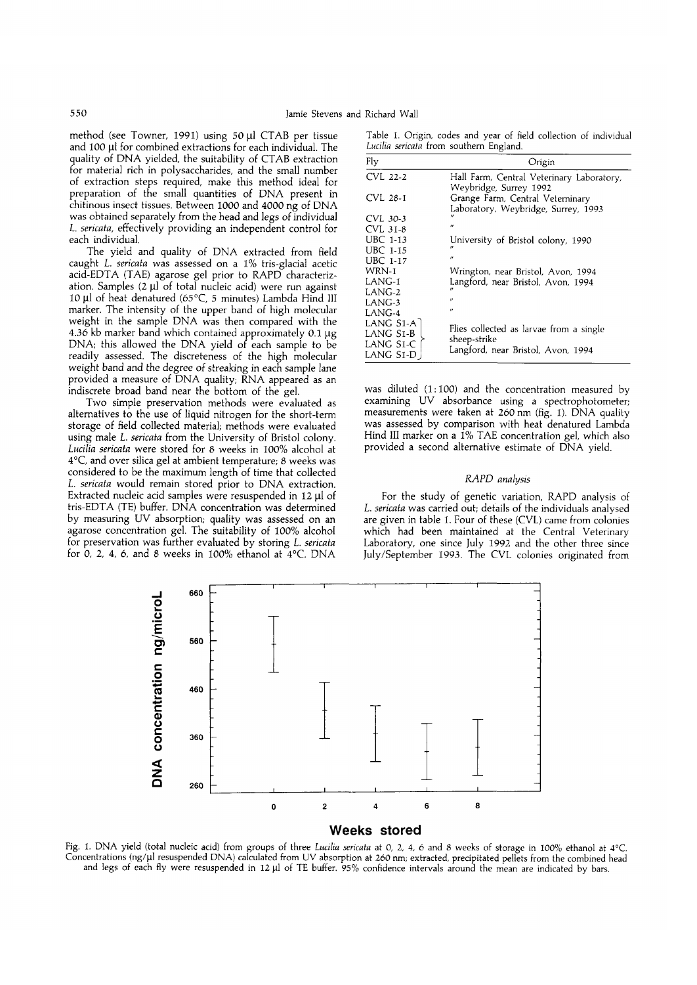method (see Towner, 1991) using 50  $\mu$ l CTAB per tissue and 100 µl for combined extractions for each individual. The quality of DNA yielded, the suitability of CTAB extraction for material rich in polysaccharides, and the small number of extraction steps required, make this method ideal for preparation of the small quantities of DNA present in chitinous insect tissues. Between 1000 and 4000 ng of DNA was obtained separately from the head and legs of individual *L. sericata,* effectively providing an independent control for each individual.

The yield and quality of DNA extracted from field caught *L. sericata* was assessed on a 1% tris-glacial acetic acid-EDTA (TAE) agarose gel prior to RAPD characterization. Samples  $(2 \mu)$  of total nucleic acid) were run against 10 *ill* of heat denatured (65 °C, 5 minutes) Lambda Hind III marker. The intensity of the upper band of high molecular weight in the sample DNA was then compared with the 4.36 kb marker band which contained approximately 0.1 *\ig* DNA; this allowed the DNA yield of each sample to be readily assessed. The discreteness of the high molecular weight band and the degree of streaking in each sample lane provided a measure of DNA quality; RNA appeared as an indiscrete broad band near the bottom of the gel.

Two simple preservation methods were evaluated as alternatives to the use of liquid nitrogen for the short-term storage of field collected material; methods were evaluated using male *L. sericata* from the University of Bristol colony. *Lucilia sericata* were stored for 8 weeks in 100% alcohol at 4°C, and over silica gel at ambient temperature; 8 weeks was considered to be the maximum length of time that collected *L. sericata* would remain stored prior to DNA extraction. Extracted nucleic acid samples were resuspended in 12 µl of tris-EDTA (TE) buffer. DNA concentration was determined by measuring UV absorption; quality was assessed on an agarose concentration gel. The suitability of 100% alcohol for preservation was further evaluated by storing *L. sericata* for 0, 2, 4, 6, and 8 weeks in 100% ethanol at 4°C. DNA

Table 1. Origin, codes and year of field collection of individual *Lucilia sericata horn* southern England.

| Fly                                                | Origin                                                                                        |
|----------------------------------------------------|-----------------------------------------------------------------------------------------------|
| CVL 22-2                                           | Hall Farm, Central Veterinary Laboratory,<br>Weybridge, Surrey 1992                           |
| CVL 28-1                                           | Grange Farm, Central Veterninary<br>Laboratory, Weybridge, Surrey, 1993                       |
| CVL 30-3                                           |                                                                                               |
| CVL 31-8                                           | $^{\prime\prime}$                                                                             |
| <b>UBC 1-13</b>                                    | University of Bristol colony, 1990                                                            |
| <b>UBC 1-15</b>                                    | $^{\prime\prime}$                                                                             |
| <b>UBC 1-17</b>                                    | $^{\prime\prime}$                                                                             |
| $WRN-1$                                            | Wrington, near Bristol, Avon, 1994                                                            |
| $LANG-1$                                           | Langford, near Bristol, Avon, 1994                                                            |
| LANG-2                                             | $^{\prime\prime}$                                                                             |
| LANG-3                                             | $^{\prime\prime}$                                                                             |
| LANG-4                                             | $^{\prime\prime}$                                                                             |
| LANG S1-A Ì<br>LANG S1-B<br>LANG S1-C<br>LANG S1-D | Flies collected as larvae from a single<br>sheep-strike<br>Langford, near Bristol, Avon, 1994 |

was diluted (1:100) and the concentration measured by examining UV absorbance using a spectrophotometer; measurements were taken at 260 nm (fig. 1). DNA quality was assessed by comparison with heat denatured Lambda Hind III marker on a 1% TAE concentration gel, which also provided a second alternative estimate of DNA yield.

## *RAPD analysis*

For the study of genetic variation, RAPD analysis of *L. sericata* was carried out; details of the individuals analysed are given in table 1. Four of these (CVL) came from colonies which had been maintained at the Central Veterinary Laboratory, one since July 1992 and the other three since July/September 1993. The CVL colonies originated from



Fig. 1. DNA yield (total nucleic acid) from groups of three *Lucilia sericata* at 0, 2, 4, 6 and 8 weeks of storage in 100% ethanol at 4°C. Concentrations (ng/ul resuspended DNA) calculated from UV absorption at 260 nm; extracted, precipitated pellets from the combined head and legs of each fly were resuspended in 12 ul of TE buffer. 95% confidence intervals around the mean are indicated by bars.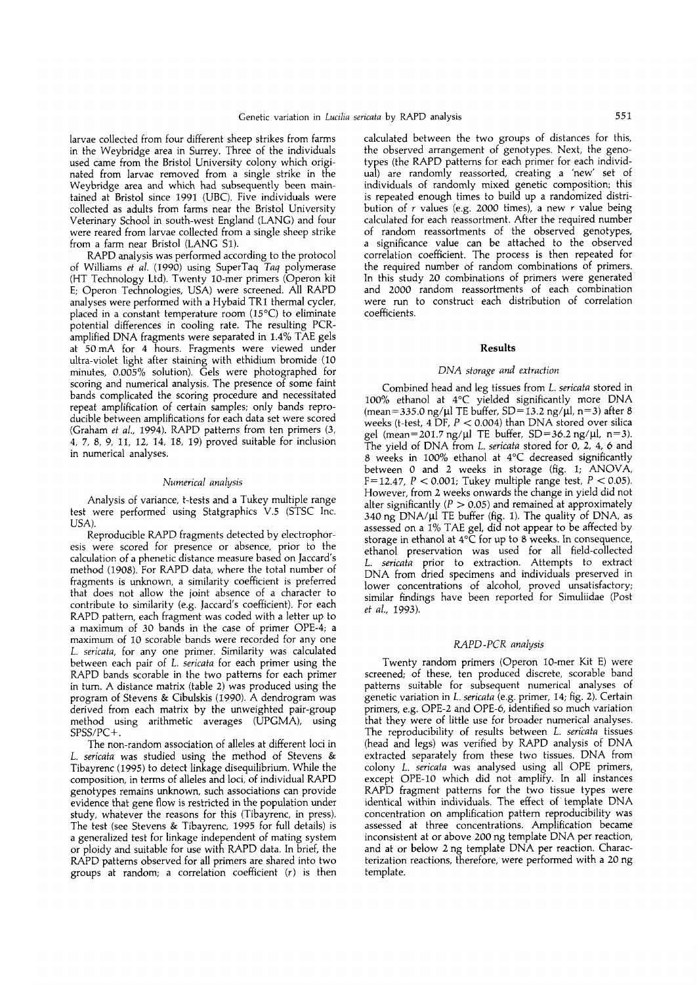larvae collected from four different sheep strikes from farms in the Weybridge area in Surrey. Three of the individuals used came from the Bristol University colony which originated from larvae removed from a single strike in the Weybridge area and which had subsequently been maintained at Bristol since 1991 (UBC). Five individuals were collected as adults from farms near the Bristol University Veterinary School in south-west England (LANG) and four were reared from larvae collected from a single sheep strike from a farm near Bristol (LANG Si).

RAPD analysis was performed according to the protocol of Williams *et al.* (1990) using SuperTaq *Taq* polymerase (HT Technology Ltd). Twenty 10-mer primers (Operon kit E; Operon Technologies, USA) were screened. All RAPD analyses were performed with a Hybaid TRl thermal cycler, placed in a constant temperature room (15°C) to eliminate potential differences in cooling rate. The resulting PCRamplified DNA fragments were separated in 1.4% TAE gels at 50 mA for 4 hours. Fragments were viewed under ultra-violet light after staining with ethidium bromide (10 minutes, 0.005% solution). Gels were photographed for scoring and numerical analysis. The presence of some faint bands complicated the scoring procedure and necessitated repeat amplification of certain samples; only bands reproducible between amplifications for each data set were scored (Graham *et al.,* 1994). RAPD patterns from ten primers (3, 4, 7, 8, 9, 11, 12, 14, 18, 19) proved suitable for inclusion in numerical analyses.

#### *Numerical analysis*

Analysis of variance, t-tests and a Tukey multiple range test were performed using Statgraphics V.5 (STSC Inc. USA).

Reproducible RAPD fragments detected by electrophoresis were scored for presence or absence, prior to the calculation of a phenetic distance measure based on Jaccard's method (1908). For RAPD data, where the total number of fragments is unknown, a similarity coefficient is preferred that does not allow the joint absence of a character to contribute to similarity (e.g. Jaccard's coefficient). For each RAPD pattern, each fragment was coded with a letter up to a maximum of 30 bands in the case of primer OPE-4; a maximum of 10 scorable bands were recorded for any one *L. sericata,* for any one primer. Similarity was calculated between each pair of *L. sericata* for each primer using the RAPD bands scorable in the two patterns for each primer in turn. A distance matrix (table 2) was produced using the program of Stevens & Cibulskis (1990). A dendrogram was derived from each matrix by the unweighted pair-group method using arithmetic averages (UPGMA), using SPSS/PC+.

The non-random association of alleles at different loci in *L. sericata* was studied using the method of Stevens & Tibayrenc (1995) to detect linkage disequilibrium. While the composition, in terms of alleles and loci, of individual RAPD genotypes remains unknown, such associations can provide evidence that gene flow is restricted in the population under study, whatever the reasons for this (Tibayrenc, in press). The test (see Stevens & Tibayrenc, 1995 for full details) is a generalized test for linkage independent of mating system or ploidy and suitable for use with RAPD data. In brief, the RAPD patterns observed for all primers are shared into two groups at random; a correlation coefficient (r) is then calculated between the two groups of distances for this, the observed arrangement of genotypes. Next, the genotypes (the RAPD patterns for each primer for each individual) are randomly reassorted, creating a 'new' set of individuals of randomly mixed genetic composition; this is repeated enough times to build up a randomized distribution of  $r$  values (e.g. 2000 times), a new  $r$  value being calculated for each reassortment. After the required number of random reassortments of the observed genotypes, a significance value can be attached to the observed correlation coefficient. The process is then repeated for the required number of random combinations of primers. In this study 20 combinations of primers were generated and 2000 random reassortments of each combination were run to construct each distribution of correlation coefficients.

#### **Results**

#### *DNA storage and extraction*

Combined head and leg tissues from *L. sericata* stored in 100% ethanol at 4°C yielded significantly more DNA (mean=335.0 ng/ul TE buffer, SD=13.2 ng/ul, n=3) after 8 weeks (t-test, 4 DF,  $P < 0.004$ ) than DNA stored over silica gel (mean=201.7 ng/ $\mu$ l TE buffer, SD=36.2 ng/ $\mu$ l, n=3). The yield of DNA from *L. sericata* stored for 0, 2, 4, 6 and 8 weeks in 100% ethanol at 4°C decreased significantly between 0 and 2 weeks in storage (fig. 1; ANOVA, F= 12.47,  $P < 0.001$ ; Tukey multiple range test,  $P < 0.05$ ). However, from 2 weeks onwards the change in yield did not alter significantly ( $P > 0.05$ ) and remained at approximately  $340$  ng DNA/ $\mu$ l TE buffer (fig. 1). The quality of DNA, as assessed on a 1% TAE gel, did not appear to be affected by storage in ethanol at 4°C for up to 8 weeks. In consequence, ethanol preservation was used for all field-collected *L. sericata* prior to extraction. Attempts to extract DNA from dried specimens and individuals preserved in lower concentrations of alcohol, proved unsatisfactory; similar findings have been reported for Simuliidae (Post *et al,* 1993).

#### *RAPD-PCR analysis*

Twenty random primers (Operon 10-mer Kit E) were screened; of these, ten produced discrete, scorable band patterns suitable for subsequent numerical analyses of genetic variation in *L. sericata* (e.g. primer, 14; fig. 2). Certain primers, e.g. OPE-2 and OPE-6, identified so much variation that they were of little use for broader numerical analyses. The reproducibility of results between *L. sericata* tissues (head and legs) was verified by RAPD analysis of DNA extracted separately from these two tissues. DNA from colony *L. sericata* was analysed using all OPE primers, except OPE-10 which did not amplify. In all instances RAPD fragment patterns for the two tissue types were identical within individuals. The effect of template DNA concentration on amplification pattern reproducibility was assessed at three concentrations. Amplification became inconsistent at or above 200 ng template DNA per reaction, and at or below 2 ng template DNA per reaction. Characterization reactions, therefore, were performed with a 20 ng template.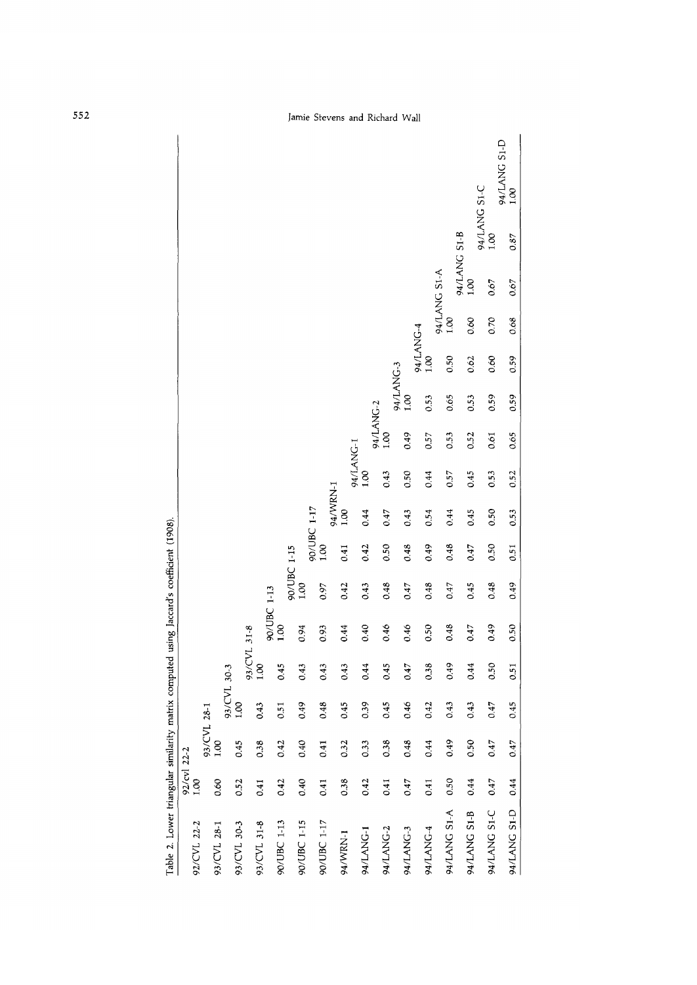| Table 2. Lower triangular similarity matrix computed using Jaccard's coefficient (1908). |                     |             |             |             |             |             |             |                                   |           |           |                   |           |              |              |              |                      |
|------------------------------------------------------------------------------------------|---------------------|-------------|-------------|-------------|-------------|-------------|-------------|-----------------------------------|-----------|-----------|-------------------|-----------|--------------|--------------|--------------|----------------------|
| 92/CVL 22-2                                                                              | 92/cvl 22-2<br>1.00 |             |             |             |             |             |             |                                   |           |           |                   |           |              |              |              |                      |
|                                                                                          |                     | 93/CVL 28-1 |             |             |             |             |             |                                   |           |           |                   |           |              |              |              |                      |
| 93/CVL 28-1                                                                              | 0.60                | 1.00        |             |             |             |             |             |                                   |           |           |                   |           |              |              |              |                      |
|                                                                                          |                     |             | 93/CVL 30-3 |             |             |             |             |                                   |           |           |                   |           |              |              |              |                      |
| 93/CVL 30-3                                                                              | 0.52                | 0.45        | 001         |             |             |             |             |                                   |           |           |                   |           |              |              |              |                      |
|                                                                                          |                     |             |             | 93/CVL 31-8 |             |             |             |                                   |           |           |                   |           |              |              |              |                      |
| 93/CVL 31-8                                                                              | 0.41                | 0.38        | 0.43        | 1.00        |             |             |             |                                   |           |           |                   |           |              |              |              |                      |
|                                                                                          |                     |             |             |             | 90/UBC 1-13 |             |             |                                   |           |           |                   |           |              |              |              |                      |
| 90/UBC 1-13                                                                              | 0.42                | 0.42        | 0.51        | 0.45        | 1.00        |             |             |                                   |           |           |                   |           |              |              |              |                      |
|                                                                                          |                     |             |             |             |             | 90/UBC 1-15 |             |                                   |           |           |                   |           |              |              |              |                      |
| 90/UBC 1-15                                                                              | 0.40                | 0.40        | 0.49        | 0.43        | 0.94        | 001         |             |                                   |           |           |                   |           |              |              |              |                      |
|                                                                                          |                     |             |             |             |             |             | 90/UBC 1-17 |                                   |           |           |                   |           |              |              |              |                      |
| 90/UBC 1-17                                                                              | 0.41                | 0.41        | 0.48        | 0.43        | 0.93        | 0.97        | 1.00        |                                   |           |           |                   |           |              |              |              |                      |
|                                                                                          |                     |             |             |             |             |             |             |                                   |           |           |                   |           |              |              |              |                      |
| 94/WRN-1                                                                                 | 0.38                | 0.32        | 0.45        | 0.43        | 0.44        | 0.42        | 0.41        | $94/\mathrm{WRN}\text{-}1\\ 1.00$ |           |           |                   |           |              |              |              |                      |
|                                                                                          |                     |             |             |             |             |             |             |                                   | 94/LANG-1 |           |                   |           |              |              |              |                      |
| 94/LANG-1                                                                                | 0.42                | 0.33        | 0.39        | 0.44        | 0.40        | 0.43        | 0.42        | 0.44                              | 1.00      |           |                   |           |              |              |              |                      |
|                                                                                          |                     |             |             |             |             |             |             |                                   |           | 94/LANG-2 |                   |           |              |              |              |                      |
| 94/LANG-2                                                                                | 0.41                | 0.38        | 0.45        | 0.45        | 0.46        | 0.48        | 0.50        | 0.47                              | 0.43      | 1.00      |                   |           |              |              |              |                      |
|                                                                                          |                     |             |             |             |             |             |             |                                   |           |           |                   |           |              |              |              |                      |
| 94/LANG-3                                                                                | 0.47                | 0.48        | 0.46        | 0.47        | 0.46        | 0.47        | 0.48        | 0.43                              | 0.50      | 0.49      | 94/LANG-3<br>1.00 |           |              |              |              |                      |
|                                                                                          |                     |             |             |             |             |             |             |                                   |           |           |                   | 94/LANG-4 |              |              |              |                      |
| 94/LANG-4                                                                                | 0.41                | 0.44        | 0.42        | 0.38        | 0.50        | 0.48        | 0.49        | 0.54                              | 0.44      | 0.57      | 0.53              | 1.00      |              |              |              |                      |
|                                                                                          |                     |             |             |             |             |             |             |                                   |           |           |                   |           | 94/LANG S1-A |              |              |                      |
| 94/LANG S1-A                                                                             | 0.50                | 0.49        | 0.43        | 0.49        | 0.48        | 0.47        | 0.48        | 0.44                              | 0.57      | 0.53      | 0.65              | 0.50      | 1.00         |              |              |                      |
|                                                                                          |                     |             |             |             |             |             |             |                                   |           |           |                   |           |              | 94/LANG S1-B |              |                      |
| 94/LANG S1-B                                                                             | 0.44                | 0.50        | 0.43        | 0.44        | 0.47        | 0.45        | 0.47        | 0.45                              | 0.45      | 0.52      | 0.53              | 0.62      | 0.60         | 1.00         |              |                      |
|                                                                                          |                     |             |             |             |             |             |             |                                   |           |           |                   |           |              |              | 94/LANG S1-C |                      |
| 94/LANG S1-C                                                                             | 0.47                | 0.47        | 0.47        | 0.50        | 0.49        | 0.48        | 0.50        | 0.50                              | 0.53      | 0.61      | 0.59              | 0.60      | 0.70         | 0.67         | 1.00         |                      |
| 94/LANG S1-D                                                                             | 0.44                | 0.47        | 0.45        | 0.51        | 0.50        | 0.49        | 0.51        | 0.53                              | 0.52      | 0.65      | 0.59              | 0.59      | 068          | 0.67         | 0.87         | 94/LANG S1-D<br>1.00 |

| .<br>Eth      |
|---------------|
|               |
|               |
|               |
|               |
|               |
|               |
|               |
|               |
|               |
|               |
|               |
|               |
| matrix.       |
|               |
|               |
|               |
|               |
|               |
|               |
|               |
| .<br>.<br>.   |
|               |
|               |
|               |
| ĺ             |
|               |
|               |
| <b>CHILL</b>  |
|               |
|               |
|               |
|               |
| $\frac{1}{2}$ |
|               |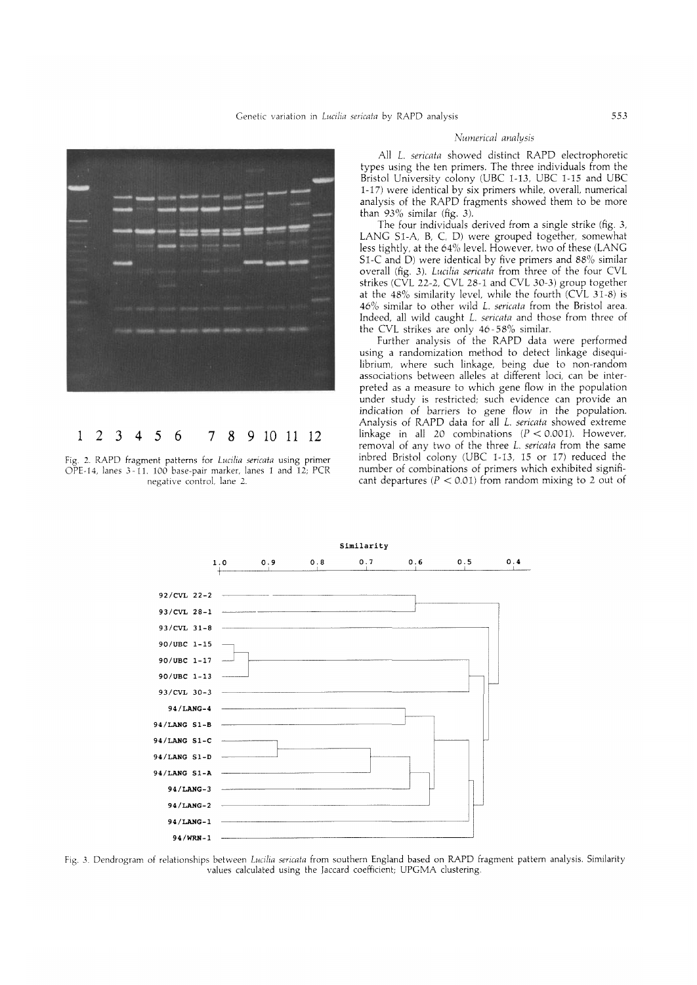

## **1 2 3 4 5 6 7 8 9 10 11 12**

Fig. 2. RAPD fragment patterns for *Lucilia sericata* using primer OPE-14, lanes 3-11. 100 base-pair marker, lanes 1 and 12; PCR negative control, lane 2.

## *Numerical analysis*

All *L. sericata* showed distinct RAPD electrophoretic types using the ten primers. The three individuals from the Bristol University colony (UBC 1-13, UBC 1-15 and UBC 1-17) were identical by six primers while, overall, numerical analysis of the RAPD fragments showed them to be more than 93% similar (fig. 3).

The four individuals derived from a single strike (fig. 3, LANG Sl-A, B, C, D) were grouped together, somewhat less tightly, at the 64% level. However, two of these (LANG Sl-C and D) were identical by five primers and 88% similar overall (fig. 3). *Lucilia sericata* from three of the four CVL strikes (CVL 22-2, CVL 28-1 and CVL 30-3) group together at the  $48\%$  similarity level, while the fourth (CVL 31-8) is 46% similar to other wild *L. sericata* from the Bristol area. Indeed, all wild caught *L. sericata* and those from three of the CVL strikes are only 46-58% similar.

Further analysis of the RAPD data were performed using a randomization method to detect linkage disequilibrium, where such linkage, being due to non-random associations between alleles at different loci, can be interpreted as a measure to which gene flow in the population under study is restricted; such evidence can provide an indication of barriers to gene flow in the population. Analysis of RAPD data for all *L. sericata* showed extreme linkage in all 20 combinations  $(P < 0.001)$ . However, removal of any two of the three *L. sericata* from the same inbred Bristol colony (UBC 1-13, 15 or 17) reduced the number of combinations of primers which exhibited significant departures ( $P < 0.01$ ) from random mixing to 2 out of



Fig. 3. Dendrogram of relationships between *Lucilia sericata* from southern England based on RAPD fragment pattern analysis. Similarity values calculated using the jaccard coefficient; UPGMA clustering.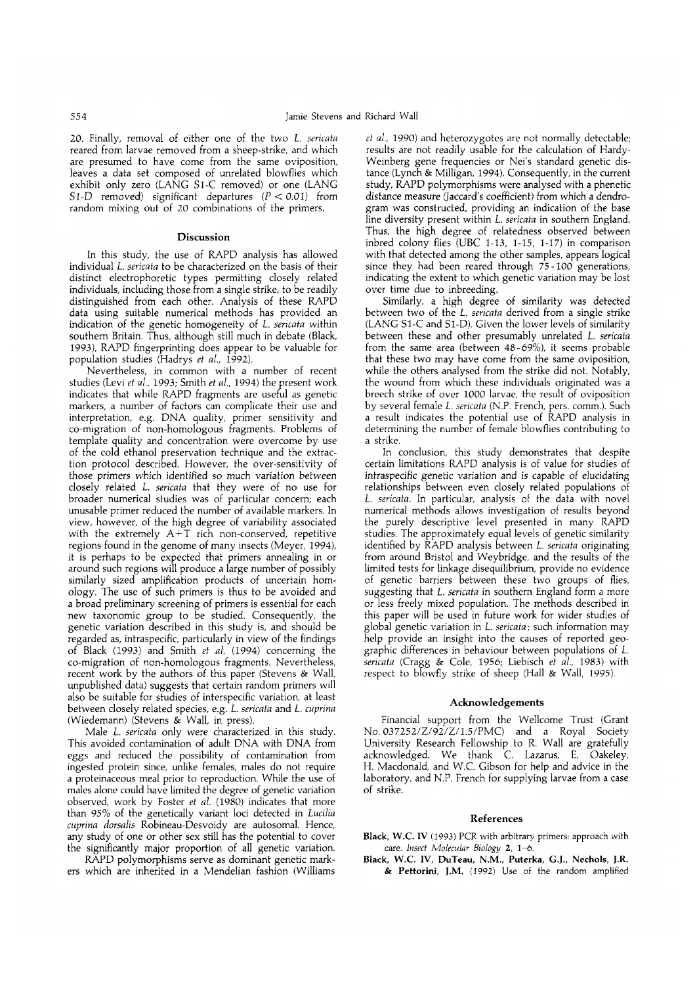20. Finally, removal of either one of the two *L. sericaka* reared from larvae removed from a sheep-strike, and which are presumed to have come from the same oviposition, leaves a data set composed of unrelated blowflies which exhibit only zero (LANG S1-C removed) or one (LANG S1-D removed) significant departures  $(P < 0.01)$  from random mixing out of 20 combinations of the primers.

## **Discussion**

In this study, the use of RAPD analysis has allowed individual *L. sericata* to be characterized on the basis of their distinct electrophoretic types permitting closely related individuals, including those from a single strike, to be readily distinguished from each other. Analysis of these RAPE) data using suitable numerical methods has provided an indication of the genetic homogeneity of *L. sericata* within southern Britain. Thus, although still much in debate (Black, 1993), RAPD fingerprinting does appear to be valuable for population studies (Hadrys et al., 1992).

Nevertheless, in common with a number of recent studies (Levi *et al.,* 1993; Smith *et al.,* 1994) the present work indicates that while RAPD fragments are useful as genetic markers, a number of factors can complicate their use and interpretation, e.g. DNA quality, primer sensitivity and co-migration of non-homologous fragments. Problems of template quality and concentration were overcome by use of the cold ethanol preservation technique and the extraction protocol described. However, the over-sensitivity of those primers which identified so much variation between closely related *L. sericata* that they were of no use for broader numerical studies was of particular concern; each unusable primer reduced the number of available markers. In view, however, of the high degree of variability associated with the extremely  $A+T$  rich non-conserved, repetitive regions found in the genome of many insects (Meyer, 1994), it is perhaps to be expected that primers annealing in or around such regions will produce a large number of possibly similarly sized amplification products of uncertain homology. The use of such primers is thus to be avoided and a broad preliminary screening of primers is essential for each new taxonomic group to be studied. Consequently, the genetic variation described in this study is, and should be regarded as, intraspecific, particularly in view of the findings of Black (1993) and Smith *et al.* (1994) concerning the co-migration of non-homologous fragments. Nevertheless, recent work by the authors of this paper (Stevens & Wall, unpublished data) suggests that certain random primers will also be suitable for studies of interspecific variation, at least between closely related species, e.g. *L. sericata* and *L. cuprina* (Wiedemann) (Stevens & Wall, in press).

Male *L. sericata* only were characterized in this study. This avoided contamination of adult DNA with DNA from eggs and reduced the possibility of contamination from ingested protein since, unlike females, males do not require a proteinaceous meal prior to reproduction. While the use of males alone could have limited the degree of genetic variation observed, work by Foster *et al.* (1980) indicates that more than 95% of the genetically variant loci detected in *Lucilia cuprina dorsalis* Robineau-Desvoidy are autosomal. Hence, any study of one or other sex still has the potential to cover the significantly major proportion of all genetic variation.

RAPD polymorphisms serve as dominant genetic markers which are inherited in a Mendelian fashion (Williams

*et al,* 1990) and heterozygotes are not normally detectable; results are not readily usable for the calculation of Hardy-Weinberg gene frequencies or Nei's standard genetic distance (Lynch & Milligan, 1994). Consequently, in the current study, RAPD polymorphisms were analysed with a phenetic distance measure (Jaccard's coefficient) from which a dendrogram was constructed, providing an indication of the base line diversity present within *L. sericata* in southern England. Thus, the high degree of relatedness observed between inbred colony flies (UBC 1-13, 1-15, 1-17) in comparison with that detected among the other samples, appears logical since they had been reared through  $75 - 100$  generations, indicating the extent to which genetic variation may be lost over time due to inbreeding.

Similarly, a high degree of similarity was detected between two of the *L. sericata* derived from a single strike (LANG Sl-C and Sl-D). Given the lower levels of similarity between these and other presumably unrelated *L. sericata* from the same area (between 48-69%), it seems probable that these two may have come from the same oviposition, while the others analysed from the strike did not. Notably, the wound from which these individuals originated was a breech strike of over 1000 larvae, the result of oviposition by several female *L. sericata* (N.P. French, pers. comm.). Such a result indicates the potential use of RAPD analysis in determining the number of female blowflies contributing to a strike.

In conclusion, this study demonstrates that despite certain limitations RAPD analysis is of value for studies of intraspecific genetic variation and is capable of elucidating relationships between even closely related populations of *L. sericata.* In particular, analysis of the data with novel numerical methods allows investigation of results beyond the purely descriptive level presented in many RAPD studies. The approximately equal levels of genetic similarity identified by RAPD analysis between *L. sericata* originating from around Bristol and Weybridge, and the results of the limited tests for linkage disequilibrium, provide no evidence of genetic barriers between these two groups of flies, suggesting that *L. sericata* in southern England form a more or less freely mixed population. The methods described in this paper will be used in future work for wider studies of global genetic variation in *L. sericata;* such information may help provide an insight into the causes of reported geographic differences in behaviour between populations of I. *sericata* (Cragg & Cole, 1956; Liebisch *et al.,* 1983) with respect to blowfly strike of sheep (Hall & Wall, 1995).

#### **Acknowledgements**

Financial support from the Wellcome Trust (Grant No. 037252/Z/92/Z/1.5/PMC) and a Royal Society University Research Fellowship to R. Wall are gratefully acknowledged. We thank C. Lazarus, E. Oakeley, H. Macdonald, and W.C. Gibson for help and advice in the laboratory, and N.P. French for supplying larvae from a case of strike.

#### **References**

- **Black, W.C. IV** (1993) PCR with arbitrary primers: approach with care. *Insect Molecular Biology 2,* 1-6.
- **Black, W.C. IV, DuTeau, N.M., Puterka, G.J., Nechols, J.R. & Pettorini, J.M.** (1992) Use of the random amplified